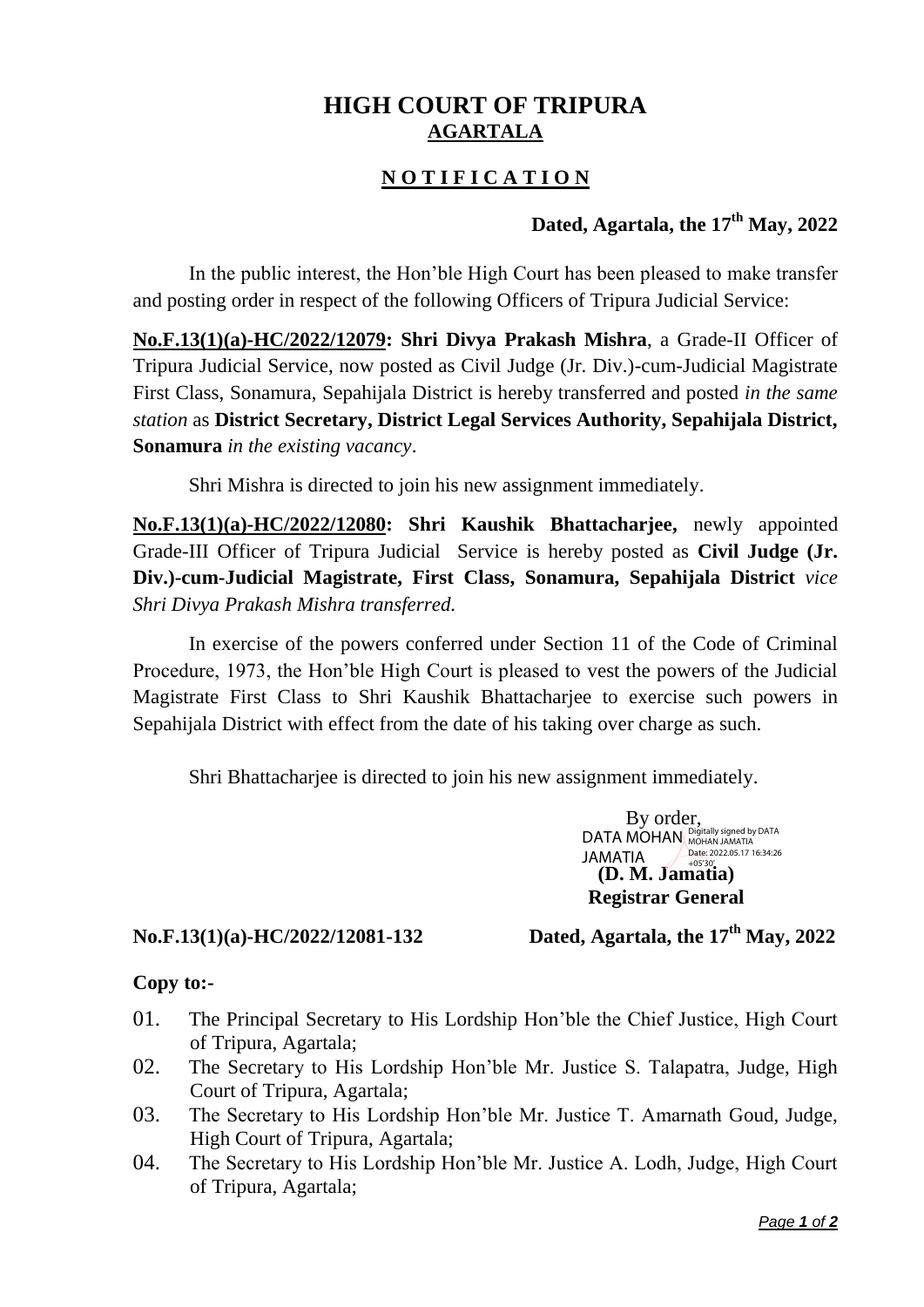# **HIGH COURT OF TRIPURA AGARTALA**

## **N O T I F I C A T I O N**

### **Dated, Agartala, the 17th May, 2022**

In the public interest, the Hon'ble High Court has been pleased to make transfer and posting order in respect of the following Officers of Tripura Judicial Service:

**No.F.13(1)(a)-HC/2022/12079: Shri Divya Prakash Mishra**, a Grade-II Officer of Tripura Judicial Service, now posted as Civil Judge (Jr. Div.)-cum-Judicial Magistrate First Class, Sonamura, Sepahijala District is hereby transferred and posted *in the same station* as **District Secretary, District Legal Services Authority, Sepahijala District, Sonamura** *in the existing vacancy*.

Shri Mishra is directed to join his new assignment immediately.

**No.F.13(1)(a)-HC/2022/12080: Shri Kaushik Bhattacharjee,** newly appointed Grade-III Officer of Tripura Judicial Service is hereby posted as **Civil Judge (Jr. Div.)-cum-Judicial Magistrate, First Class, Sonamura, Sepahijala District** *vice Shri Divya Prakash Mishra transferred.*

In exercise of the powers conferred under Section 11 of the Code of Criminal Procedure, 1973, the Hon'ble High Court is pleased to vest the powers of the Judicial Magistrate First Class to Shri Kaushik Bhattacharjee to exercise such powers in Sepahijala District with effect from the date of his taking over charge as such.

Shri Bhattacharjee is directed to join his new assignment immediately.

By order, **(D. M. Jamatia)** +05'30'**Registrar General** DATA MOHAN Digitally signed by DATA JAMATIA Date: 2022.05.17 16:34:26

### **No.F.13(1)(a)-HC/2022/12081-132 Dated, Agartala, the 17th May, 2022**

#### **Copy to:-**

- 01. The Principal Secretary to His Lordship Hon'ble the Chief Justice, High Court of Tripura, Agartala;
- 02. The Secretary to His Lordship Hon'ble Mr. Justice S. Talapatra, Judge, High Court of Tripura, Agartala;
- 03. The Secretary to His Lordship Hon'ble Mr. Justice T. Amarnath Goud, Judge, High Court of Tripura, Agartala;
- 04. The Secretary to His Lordship Hon'ble Mr. Justice A. Lodh, Judge, High Court of Tripura, Agartala;